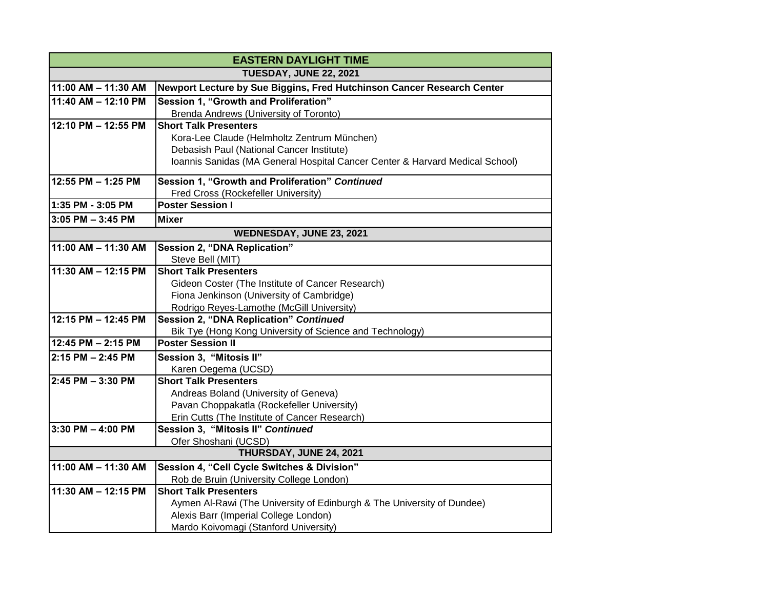| <b>EASTERN DAYLIGHT TIME</b>  |                                                                                      |
|-------------------------------|--------------------------------------------------------------------------------------|
| <b>TUESDAY, JUNE 22, 2021</b> |                                                                                      |
| 11:00 AM - 11:30 AM           | Newport Lecture by Sue Biggins, Fred Hutchinson Cancer Research Center               |
| 11:40 AM - 12:10 PM           | Session 1, "Growth and Proliferation"                                                |
|                               | Brenda Andrews (University of Toronto)                                               |
| 12:10 PM - 12:55 PM           | <b>Short Talk Presenters</b>                                                         |
|                               | Kora-Lee Claude (Helmholtz Zentrum München)                                          |
|                               | Debasish Paul (National Cancer Institute)                                            |
|                               | Ioannis Sanidas (MA General Hospital Cancer Center & Harvard Medical School)         |
| 12:55 PM - 1:25 PM            | Session 1, "Growth and Proliferation" Continued                                      |
|                               | Fred Cross (Rockefeller University)                                                  |
| 1:35 PM - 3:05 PM             | <b>Poster Session I</b>                                                              |
| $3:05$ PM $-3:45$ PM          | <b>Mixer</b>                                                                         |
| WEDNESDAY, JUNE 23, 2021      |                                                                                      |
| 11:00 AM - 11:30 AM           | <b>Session 2, "DNA Replication"</b>                                                  |
|                               | Steve Bell (MIT)                                                                     |
| 11:30 AM - 12:15 PM           | <b>Short Talk Presenters</b>                                                         |
|                               | Gideon Coster (The Institute of Cancer Research)                                     |
|                               | Fiona Jenkinson (University of Cambridge)                                            |
|                               | Rodrigo Reyes-Lamothe (McGill University)                                            |
| 12:15 PM - 12:45 PM           | <b>Session 2, "DNA Replication" Continued</b>                                        |
|                               | Bik Tye (Hong Kong University of Science and Technology)<br><b>Poster Session II</b> |
| 12:45 PM - 2:15 PM            |                                                                                      |
| 2:15 PM - 2:45 PM             | Session 3, "Mitosis II"                                                              |
|                               | Karen Oegema (UCSD)                                                                  |
| 2:45 PM - 3:30 PM             | <b>Short Talk Presenters</b>                                                         |
|                               | Andreas Boland (University of Geneva)<br>Pavan Choppakatla (Rockefeller University)  |
|                               | Erin Cutts (The Institute of Cancer Research)                                        |
| 3:30 PM - 4:00 PM             | Session 3, "Mitosis II" Continued                                                    |
|                               | Ofer Shoshani (UCSD)                                                                 |
|                               | THURSDAY, JUNE 24, 2021                                                              |
| 11:00 AM - 11:30 AM           | Session 4, "Cell Cycle Switches & Division"                                          |
|                               | Rob de Bruin (University College London)                                             |
| 11:30 AM - 12:15 PM           | <b>Short Talk Presenters</b>                                                         |
|                               | Aymen Al-Rawi (The University of Edinburgh & The University of Dundee)               |
|                               | Alexis Barr (Imperial College London)                                                |
|                               | Mardo Koivomagi (Stanford University)                                                |